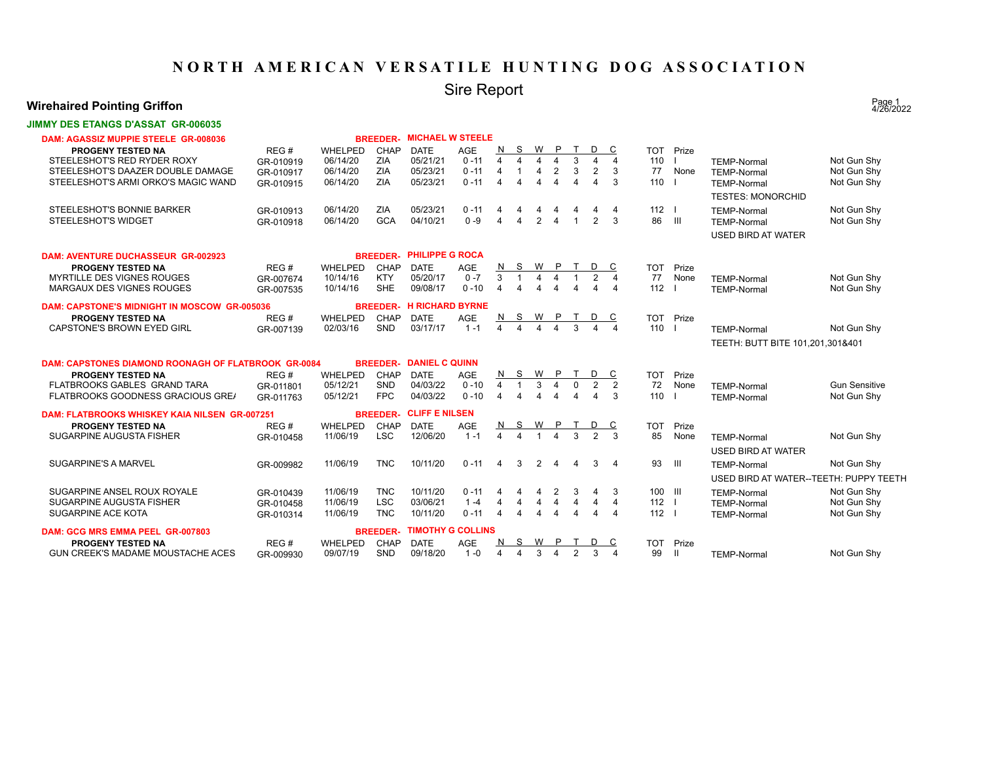## **NORTH AMERICAN VERSATILE HUNTING DOG ASSOCIATION**

# Sire Report

### **Wirehaired Pointing Griffon**

#### **JIMMY DES ETANGS D'ASSAT GR-006035**

| DAM: AGASSIZ MUPPIE STEELE GR-008036                       |           |                | <b>BREEDER-</b> | <b>MICHAEL W STEELE</b>  |            |                       |                         |                |                |                        |                |                       |                                |              |                                        |                      |
|------------------------------------------------------------|-----------|----------------|-----------------|--------------------------|------------|-----------------------|-------------------------|----------------|----------------|------------------------|----------------|-----------------------|--------------------------------|--------------|----------------------------------------|----------------------|
| <b>PROGENY TESTED NA</b>                                   | REG#      | WHELPED        | CHAP            | <b>DATE</b>              | AGE        | N                     | S                       | W              | $\mathsf{P}$   | T                      | D              | C                     | <b>TOT</b>                     | Prize        |                                        |                      |
| STEELESHOT'S RED RYDER ROXY                                | GR-010919 | 06/14/20       | ZIA             | 05/21/21                 | $0 - 11$   | $\overline{4}$        | $\overline{\mathbf{A}}$ | 4              | 4              | 3                      | 4              | $\overline{4}$        | 110                            |              | <b>TEMP-Normal</b>                     | Not Gun Shy          |
| STEELESHOT'S DAAZER DOUBLE DAMAGE                          | GR-010917 | 06/14/20       | ZIA             | 05/23/21                 | $0 - 11$   | $\overline{4}$        |                         | $\overline{4}$ | $\overline{2}$ | 3                      | $\overline{2}$ | 3                     | 77                             | None         | <b>TEMP-Normal</b>                     | Not Gun Shy          |
| STEELESHOT'S ARMI ORKO'S MAGIC WAND                        | GR-010915 | 06/14/20       | ZIA             | 05/23/21                 | $0 - 11$   | $\boldsymbol{\Delta}$ | $\overline{\mathbf{A}}$ | $\overline{4}$ | 4              | $\overline{4}$         | $\mathbf 4$    | 3                     | 110                            |              | <b>TEMP-Normal</b>                     | Not Gun Shy          |
|                                                            |           |                |                 |                          |            |                       |                         |                |                |                        |                |                       |                                |              | <b>TESTES: MONORCHID</b>               |                      |
| STEELESHOT'S BONNIE BARKER                                 | GR-010913 | 06/14/20       | ZIA             | 05/23/21                 | $0 - 11$   | 4                     | 4                       | 4              | 4              | 4                      | 4              | $\overline{4}$        | $112$ $\overline{\phantom{0}}$ |              | <b>TEMP-Normal</b>                     | Not Gun Shy          |
| <b>STEELESHOT'S WIDGET</b>                                 | GR-010918 | 06/14/20       | <b>GCA</b>      | 04/10/21                 | $0 - 9$    | $\overline{4}$        | $\overline{4}$          | 2              | $\Delta$       | $\overline{1}$         | $\overline{2}$ | $\mathcal{R}$         | 86                             | $\mathbf{H}$ | <b>TEMP-Normal</b>                     | Not Gun Shy          |
|                                                            |           |                |                 |                          |            |                       |                         |                |                |                        |                |                       |                                |              |                                        |                      |
|                                                            |           |                |                 |                          |            |                       |                         |                |                |                        |                |                       |                                |              | <b>USED BIRD AT WATER</b>              |                      |
| <b>DAM: AVENTURE DUCHASSEUR GR-002923</b>                  |           |                | <b>BREEDER-</b> | <b>PHILIPPE G ROCA</b>   |            |                       |                         |                |                |                        |                |                       |                                |              |                                        |                      |
| <b>PROGENY TESTED NA</b>                                   | REG#      | WHELPED        | CHAP            | <b>DATE</b>              | <b>AGE</b> | N                     | S.                      | W              | - P            |                        | D              | C                     | <b>TOT</b>                     | Prize        |                                        |                      |
| <b>MYRTILLE DES VIGNES ROUGES</b>                          | GR-007674 | 10/14/16       | <b>KTY</b>      | 05/20/17                 | $0 - 7$    | 3                     |                         | 4              | 4              | $\overline{1}$         | $\overline{2}$ | $\overline{4}$        | 77                             | None         | <b>TEMP-Normal</b>                     | Not Gun Shy          |
| MARGAUX DES VIGNES ROUGES                                  | GR-007535 | 10/14/16       | <b>SHE</b>      | 09/08/17                 | $0 - 10$   | $\boldsymbol{\Delta}$ | $\overline{4}$          | $\overline{4}$ | 4              | $\boldsymbol{\Lambda}$ |                | $\overline{4}$        | 112                            |              | <b>TEMP-Normal</b>                     | Not Gun Shy          |
|                                                            |           |                |                 |                          |            |                       |                         |                |                |                        |                |                       |                                |              |                                        |                      |
| <b>DAM: CAPSTONE'S MIDNIGHT IN MOSCOW GR-005036</b>        |           |                | <b>BREEDER-</b> | <b>H RICHARD BYRNE</b>   |            |                       |                         |                |                |                        |                |                       |                                |              |                                        |                      |
| PROGENY TESTED NA                                          | REG#      | WHELPED        | CHAP            | <b>DATE</b>              | <b>AGE</b> | <u>N</u><br>$\Delta$  | S                       | W              | P.             |                        | D              | C                     |                                | TOT Prize    |                                        |                      |
| CAPSTONE'S BROWN EYED GIRL                                 | GR-007139 | 02/03/16       | SND             | 03/17/17                 | $1 - 1$    |                       |                         | $\Delta$       | $\Delta$       | $\mathcal{E}$          |                | $\boldsymbol{\Delta}$ | 110                            |              | <b>TEMP-Normal</b>                     | Not Gun Shy          |
|                                                            |           |                |                 |                          |            |                       |                         |                |                |                        |                |                       |                                |              | TEETH: BUTT BITE 101,201,301&401       |                      |
|                                                            |           |                |                 |                          |            |                       |                         |                |                |                        |                |                       |                                |              |                                        |                      |
| <b>DAM: CAPSTONES DIAMOND ROONAGH OF FLATBROOK GR-0084</b> |           |                | <b>BREEDER-</b> | <b>DANIEL C QUINN</b>    |            |                       |                         |                |                |                        |                |                       |                                |              |                                        |                      |
| PROGENY TESTED NA                                          | REG#      | WHELPED        | CHAP            | <b>DATE</b>              | AGE        | N                     | S                       | W              | P              |                        | D              | C                     | <b>TOT</b>                     | Prize        |                                        |                      |
| FLATBROOKS GABLES GRAND TARA                               | GR-011801 | 05/12/21       | SND             | 04/03/22                 | $0 - 10$   | $\overline{4}$        | $\overline{1}$          | 3              | 4              | $\mathbf{0}$           | 2              | $\overline{2}$        | 72                             | None         | <b>TEMP-Normal</b>                     | <b>Gun Sensitive</b> |
| <b>FLATBROOKS GOODNESS GRACIOUS GREAT</b>                  | GR-011763 | 05/12/21       | <b>FPC</b>      | 04/03/22                 | $0 - 10$   | $\boldsymbol{\Delta}$ | $\Delta$                | $\Delta$       | 4              | $\overline{4}$         | $\mathbf 4$    | 3                     | 110                            |              | <b>TEMP-Normal</b>                     | Not Gun Shy          |
| <b>DAM: FLATBROOKS WHISKEY KAIA NILSEN GR-007251</b>       |           |                | <b>BREEDER-</b> | <b>CLIFF E NILSEN</b>    |            |                       |                         |                |                |                        |                |                       |                                |              |                                        |                      |
| <b>PROGENY TESTED NA</b>                                   | REG#      | <b>WHELPED</b> | CHAP            | <b>DATE</b>              | AGE        | <u>N</u>              | S                       | W              | $\mathsf{P}$   |                        |                | C                     | <b>TOT</b>                     | Prize        |                                        |                      |
| SUGARPINE AUGUSTA FISHER                                   | GR-010458 | 11/06/19       | <b>LSC</b>      | 12/06/20                 | $1 - 1$    | $\mathbf{A}$          | $\Delta$                |                | $\Delta$       | 3                      | $\mathcal{D}$  | $\mathcal{R}$         | 85                             | None         | <b>TEMP-Normal</b>                     | Not Gun Shy          |
|                                                            |           |                |                 |                          |            |                       |                         |                |                |                        |                |                       |                                |              | <b>USED BIRD AT WATER</b>              |                      |
| <b>SUGARPINE'S A MARVEL</b>                                |           |                | <b>TNC</b>      | 10/11/20                 | $0 - 11$   |                       |                         |                |                |                        |                |                       | 93                             |              |                                        |                      |
|                                                            | GR-009982 | 11/06/19       |                 |                          |            | 4                     | 3                       | 2              | 4              | $\overline{4}$         | 3              | -4                    |                                | - III        | <b>TEMP-Normal</b>                     | Not Gun Shy          |
|                                                            |           |                |                 |                          |            |                       |                         |                |                |                        |                |                       |                                |              | USED BIRD AT WATER--TEETH: PUPPY TEETH |                      |
| SUGARPINE ANSEL ROUX ROYALE                                | GR-010439 | 11/06/19       | <b>TNC</b>      | 10/11/20                 | $0 - 11$   | 4                     | 4                       | 4              | 2              | 3                      | 4              | 3                     | 100 III                        |              | <b>TEMP-Normal</b>                     | Not Gun Shy          |
| SUGARPINE AUGUSTA FISHER                                   | GR-010458 | 11/06/19       | <b>LSC</b>      | 03/06/21                 | $1 - 4$    | $\overline{4}$        | $\overline{4}$          | 4              | 4              | 4                      | 4              | $\overline{4}$        | $112$ $\overline{\phantom{0}}$ |              | <b>TEMP-Normal</b>                     | Not Gun Shy          |
| SUGARPINE ACE KOTA                                         | GR-010314 | 11/06/19       | <b>TNC</b>      | 10/11/20                 | $0 - 11$   | $\overline{4}$        | $\overline{4}$          | $\overline{4}$ | $\overline{4}$ | $\overline{4}$         | 4              | $\overline{4}$        | $112$ $\overline{\phantom{0}}$ |              | <b>TEMP-Normal</b>                     | Not Gun Shy          |
| DAM: GCG MRS EMMA PEEL GR-007803                           |           |                | <b>BREEDER-</b> | <b>TIMOTHY G COLLINS</b> |            |                       |                         |                |                |                        |                |                       |                                |              |                                        |                      |
| PROGENY TESTED NA                                          | REG#      | WHELPED        | CHAP            | <b>DATE</b>              | <b>AGE</b> | N                     | S                       | W              |                |                        | D              | C                     | <b>TOT</b>                     | Prize        |                                        |                      |
| <b>GUN CREEK'S MADAME MOUSTACHE ACES</b>                   | GR-009930 | 09/07/19       | <b>SND</b>      | 09/18/20                 | $1 - 0$    | $\overline{4}$        | $\overline{\mathbf{A}}$ | 3              | 4              | 2                      | 3              | $\overline{4}$        | 99                             | Ш            | <b>TEMP-Normal</b>                     | Not Gun Shy          |
|                                                            |           |                |                 |                          |            |                       |                         |                |                |                        |                |                       |                                |              |                                        |                      |

Page 1<br>4/26/2022